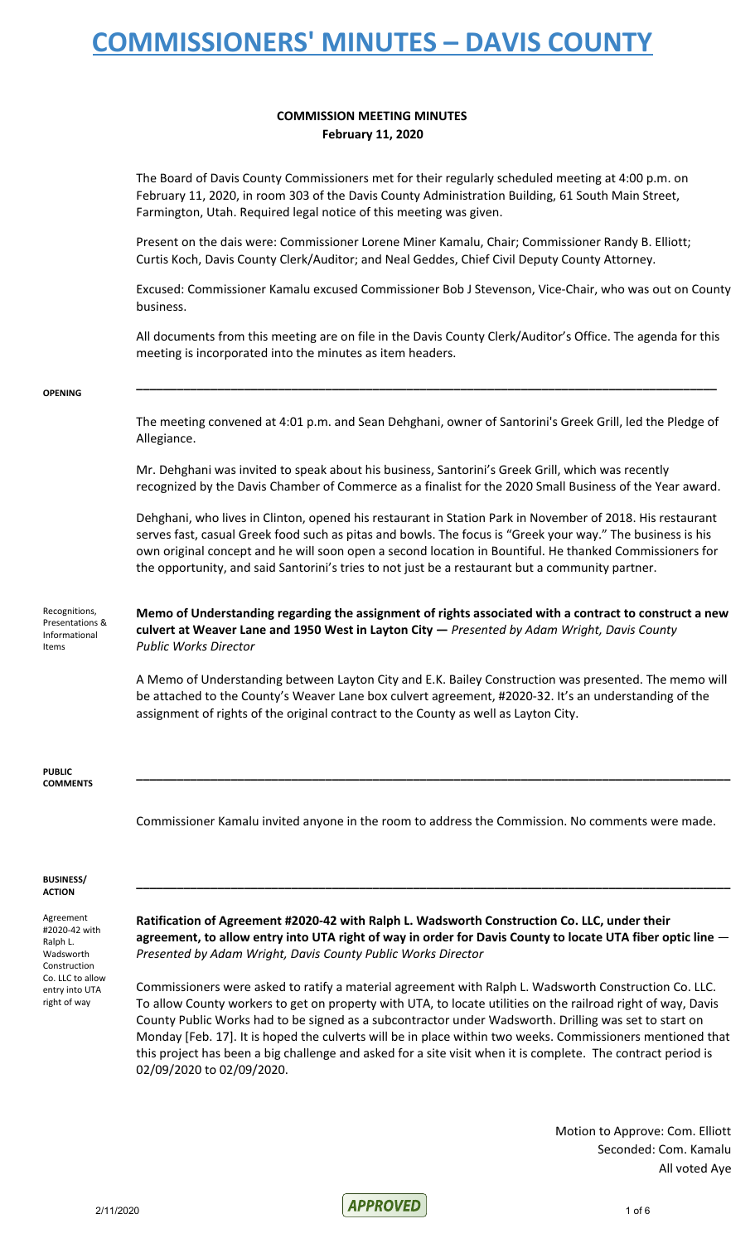#### **COMMISSION MEETING MINUTES February 11, 2020**

The Board of Davis County Commissioners met for their regularly scheduled meeting at 4:00 p.m. on February 11, 2020, in room 303 of the Davis County Administration Building, 61 South Main Street, Farmington, Utah. Required legal notice of this meeting was given.

Present on the dais were: Commissioner Lorene Miner Kamalu, Chair; Commissioner Randy B. Elliott; Curtis Koch, Davis County Clerk/Auditor; and Neal Geddes, Chief Civil Deputy County Attorney.

Excused: Commissioner Kamalu excused Commissioner Bob J Stevenson, Vice-Chair, who was out on County business.

All documents from this meeting are on file in the Davis County Clerk/Auditor's Office. The agenda for this meeting is incorporated into the minutes as item headers.

**\_\_\_\_\_\_\_\_\_\_\_\_\_\_\_\_\_\_\_\_\_\_\_\_\_\_\_\_\_\_\_\_\_\_\_\_\_\_\_\_\_\_\_\_\_\_\_\_\_\_\_\_\_\_\_\_\_\_\_\_\_\_\_\_\_\_\_\_\_\_\_\_\_\_\_\_\_\_\_\_\_\_\_\_\_\_**

#### **OPENING**

The meeting convened at 4:01 p.m. and Sean Dehghani, owner of Santorini's Greek Grill, led the Pledge of Allegiance.

Mr. Dehghani was invited to speak about his business, Santorini's Greek Grill, which was recently recognized by the Davis Chamber of Commerce as a finalist for the 2020 Small Business of the Year award.

Dehghani, who lives in Clinton, opened his restaurant in Station Park in November of 2018. His restaurant serves fast, casual Greek food such as pitas and bowls. The focus is "Greek your way." The business is his own original concept and he will soon open a second location in Bountiful. He thanked Commissioners for the opportunity, and said Santorini's tries to not just be a restaurant but a community partner.

Recognitions, Presentations & Informational Items

**Memo of Understanding regarding the assignment of rights associated with a contract to construct a new culvert at Weaver Lane and 1950 West in Layton City —** *Presented by Adam Wright, Davis County Public Works Director*

A Memo of Understanding between Layton City and E.K. Bailey Construction was presented. The memo will be attached to the County's Weaver Lane box culvert agreement, #2020-32. It's an understanding of the assignment of rights of the original contract to the County as well as Layton City.

**\_\_\_\_\_\_\_\_\_\_\_\_\_\_\_\_\_\_\_\_\_\_\_\_\_\_\_\_\_\_\_\_\_\_\_\_\_\_\_\_\_\_\_\_\_\_\_\_\_\_\_\_\_\_\_\_\_\_\_\_\_\_\_\_\_\_\_\_\_\_\_\_\_\_\_\_\_\_\_\_\_\_\_\_\_\_\_\_**

**PUBLIC COMMENTS**

Commissioner Kamalu invited anyone in the room to address the Commission. No comments were made.

#### **BUSINESS/ ACTION**

Agreement #2020-42 with Ralph L. Wadsworth Construction Co. LLC to allow entry into UTA right of way

**Ratification of Agreement #2020-42 with Ralph L. Wadsworth Construction Co. LLC, under their** agreement, to allow entry into UTA right of way in order for Davis County to locate UTA fiber optic line -*Presented by Adam Wright, Davis County Public Works Director*

**\_\_\_\_\_\_\_\_\_\_\_\_\_\_\_\_\_\_\_\_\_\_\_\_\_\_\_\_\_\_\_\_\_\_\_\_\_\_\_\_\_\_\_\_\_\_\_\_\_\_\_\_\_\_\_\_\_\_\_\_\_\_\_\_\_\_\_\_\_\_\_\_\_\_\_\_\_\_\_\_\_\_\_\_\_\_\_\_**

Commissioners were asked to ratify a material agreement with Ralph L. Wadsworth Construction Co. LLC. To allow County workers to get on property with UTA, to locate utilities on the railroad right of way, Davis County Public Works had to be signed as a subcontractor under Wadsworth. Drilling was set to start on Monday [Feb. 17]. It is hoped the culverts will be in place within two weeks. Commissioners mentioned that this project has been a big challenge and asked for a site visit when it is complete. The contract period is 02/09/2020 to 02/09/2020.

> Motion to Approve: Com. Elliott Seconded: Com. Kamalu All voted Aye

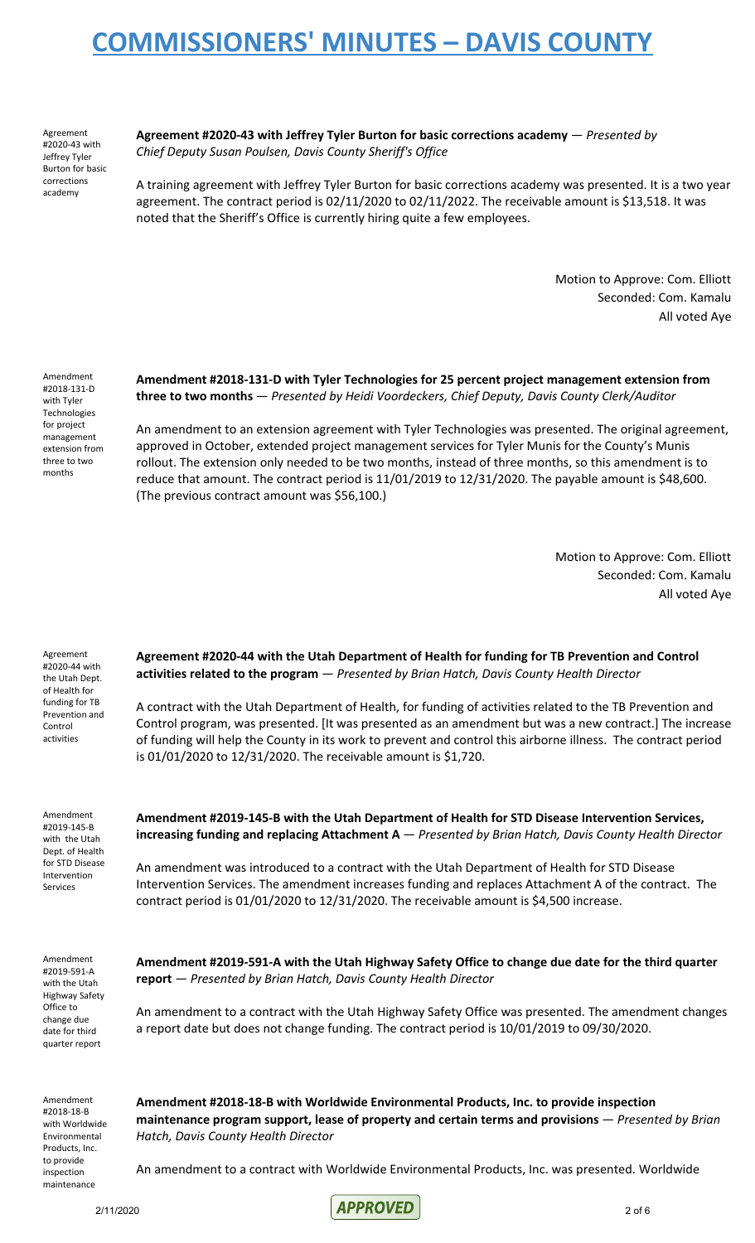Agreement #2020-43 with Jeffrey Tyler Burton for basic corrections academy

**Agreement #2020-43 with Jeffrey Tyler Burton for basic corrections academy** — *Presented by Chief Deputy Susan Poulsen, Davis County Sheriff's Office*

A training agreement with Jeffrey Tyler Burton for basic corrections academy was presented. It is a two year agreement. The contract period is 02/11/2020 to 02/11/2022. The receivable amount is \$13,518. It was noted that the Sheriff's Office is currently hiring quite a few employees.

> Motion to Approve: Com. Elliott Seconded: Com. Kamalu All voted Aye

Amendment #2018-131-D with Tyler Technologies for project management extension from three to two months

**Amendment #2018-131-D with Tyler Technologies for 25 percent project management extension from three to two months** — *Presented by Heidi Voordeckers, Chief Deputy, Davis County Clerk/Auditor*

An amendment to an extension agreement with Tyler Technologies was presented. The original agreement, approved in October, extended project management services for Tyler Munis for the County's Munis rollout. The extension only needed to be two months, instead of three months, so this amendment is to reduce that amount. The contract period is 11/01/2019 to 12/31/2020. The payable amount is \$48,600. (The previous contract amount was \$56,100.)

> Motion to Approve: Com. Elliott Seconded: Com. Kamalu All voted Aye

Agreement #2020-44 with the Utah Dept. of Health for funding for TB Prevention and Control activities

**Agreement #2020-44 with the Utah Department of Health for funding for TB Prevention and Control activities related to the program** — *Presented by Brian Hatch, Davis County Health Director*

A contract with the Utah Department of Health, for funding of activities related to the TB Prevention and Control program, was presented. [It was presented as an amendment but was a new contract.] The increase of funding will help the County in its work to prevent and control this airborne illness. The contract period is 01/01/2020 to 12/31/2020. The receivable amount is \$1,720.

Amendment #2019-145-B with the Utah Dept. of Health for STD Disease Intervention Services

**Amendment #2019-145-B with the Utah Department of Health for STD Disease Intervention Services, increasing funding and replacing Attachment A** — *Presented by Brian Hatch, Davis County Health Director*

An amendment was introduced to a contract with the Utah Department of Health for STD Disease Intervention Services. The amendment increases funding and replaces Attachment A of the contract. The contract period is 01/01/2020 to 12/31/2020. The receivable amount is \$4,500 increase.

Amendment #2019-591-A with the Utah Highway Safety Office to change due date for third quarter report

**Amendment #2019-591-A with the Utah Highway Safety Office to change due date for the third quarter report** — *Presented by Brian Hatch, Davis County Health Director*

An amendment to a contract with the Utah Highway Safety Office was presented. The amendment changes a report date but does not change funding. The contract period is 10/01/2019 to 09/30/2020.

Amendment #2018-18-B with Worldwide Environmental Products, Inc. to provide inspection maintenance

**Amendment #2018-18-B with Worldwide Environmental Products, Inc. to provide inspection maintenance program support, lease of property and certain terms and provisions** — *Presented by Brian Hatch, Davis County Health Director*

An amendment to a contract with Worldwide Environmental Products, Inc. was presented. Worldwide

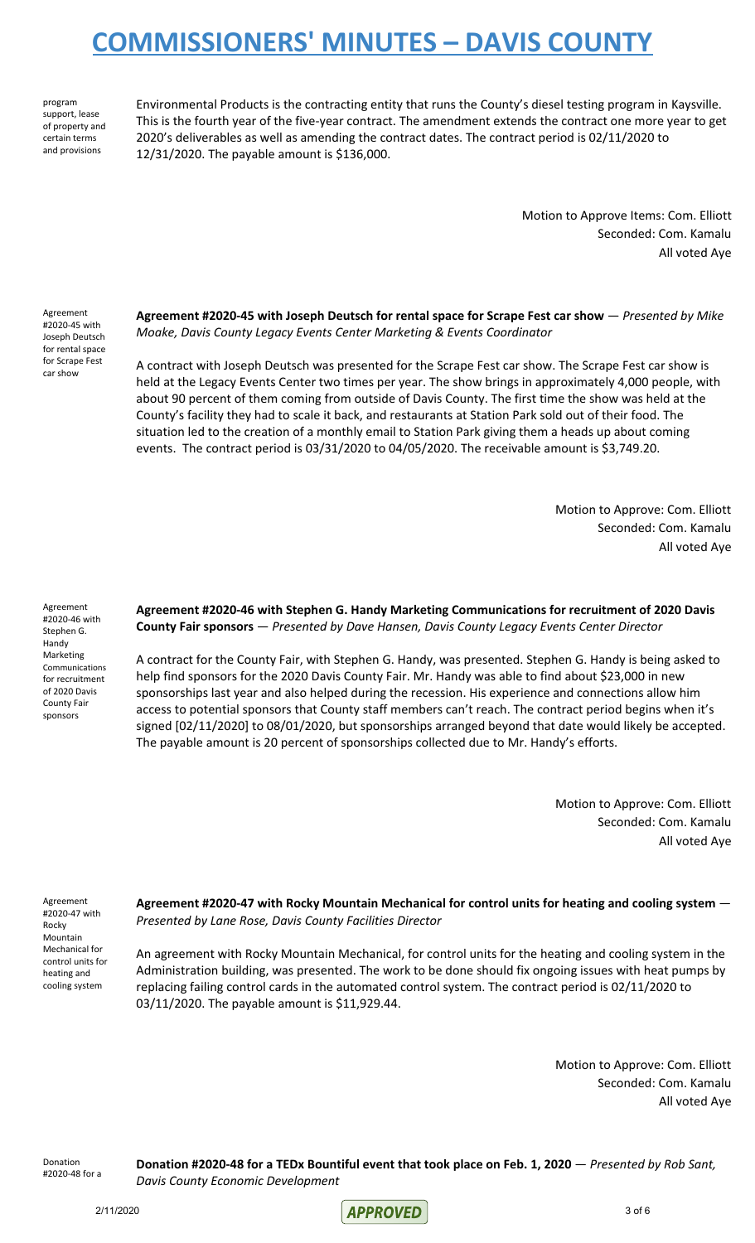program support, lease of property and certain terms and provisions

Environmental Products is the contracting entity that runs the County's diesel testing program in Kaysville. This is the fourth year of the five-year contract. The amendment extends the contract one more year to get 2020's deliverables as well as amending the contract dates. The contract period is 02/11/2020 to 12/31/2020. The payable amount is \$136,000.

> Motion to Approve Items: Com. Elliott Seconded: Com. Kamalu All voted Aye

Agreement #2020-45 with Joseph Deutsch for rental space for Scrape Fest car show

**Agreement #2020-45 with Joseph Deutsch for rental space for Scrape Fest car show** — *Presented by Mike Moake, Davis County Legacy Events Center Marketing & Events Coordinator*

A contract with Joseph Deutsch was presented for the Scrape Fest car show. The Scrape Fest car show is held at the Legacy Events Center two times per year. The show brings in approximately 4,000 people, with about 90 percent of them coming from outside of Davis County. The first time the show was held at the County's facility they had to scale it back, and restaurants at Station Park sold out of their food. The situation led to the creation of a monthly email to Station Park giving them a heads up about coming events. The contract period is 03/31/2020 to 04/05/2020. The receivable amount is \$3,749.20.

> Motion to Approve: Com. Elliott Seconded: Com. Kamalu All voted Aye

Agreement #2020-46 with Stephen G. Handy Marketing Communications for recruitment of 2020 Davis County Fair sponsors

**Agreement #2020-46 with Stephen G. Handy Marketing Communications for recruitment of 2020 Davis County Fair sponsors** — *Presented by Dave Hansen, Davis County Legacy Events Center Director*

A contract for the County Fair, with Stephen G. Handy, was presented. Stephen G. Handy is being asked to help find sponsors for the 2020 Davis County Fair. Mr. Handy was able to find about \$23,000 in new sponsorships last year and also helped during the recession. His experience and connections allow him access to potential sponsors that County staff members can't reach. The contract period begins when it's signed [02/11/2020] to 08/01/2020, but sponsorships arranged beyond that date would likely be accepted. The payable amount is 20 percent of sponsorships collected due to Mr. Handy's efforts.

> Motion to Approve: Com. Elliott Seconded: Com. Kamalu All voted Aye

Agreement #2020-47 with Rocky Mountain Mechanical for control units for heating and cooling system

**Agreement #2020-47 with Rocky Mountain Mechanical for control units for heating and cooling system** — *Presented by Lane Rose, Davis County Facilities Director*

An agreement with Rocky Mountain Mechanical, for control units for the heating and cooling system in the Administration building, was presented. The work to be done should fix ongoing issues with heat pumps by replacing failing control cards in the automated control system. The contract period is 02/11/2020 to 03/11/2020. The payable amount is \$11,929.44.

> Motion to Approve: Com. Elliott Seconded: Com. Kamalu All voted Aye

Donation #2020-48 for a

Donation #2020-48 for a TEDx Bountiful event that took place on Feb. 1, 2020 - Presented by Rob Sant, *Davis County Economic Development*

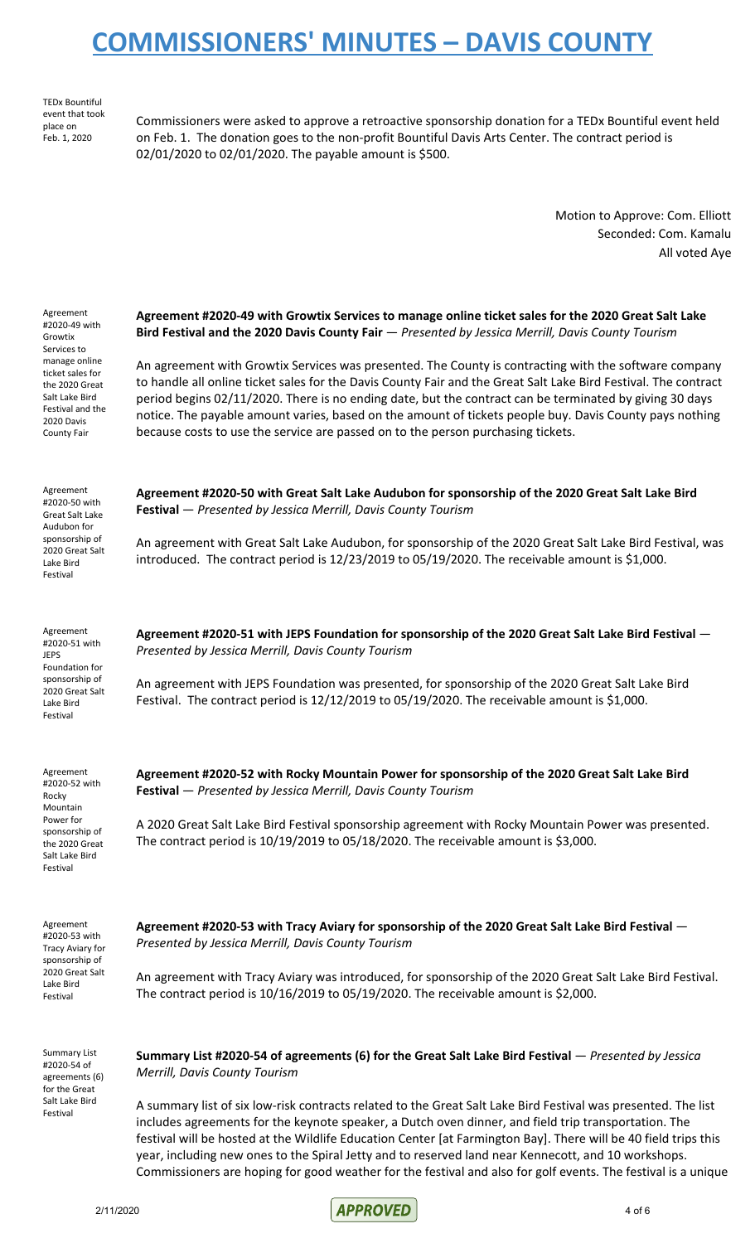TEDx Bountiful event that took place on Feb. 1, 2020

Commissioners were asked to approve a retroactive sponsorship donation for a TEDx Bountiful event held on Feb. 1. The donation goes to the non-profit Bountiful Davis Arts Center. The contract period is 02/01/2020 to 02/01/2020. The payable amount is \$500.

> Motion to Approve: Com. Elliott Seconded: Com. Kamalu All voted Aye

| Agreement<br>#2020-49 with<br>Growtix<br>Services to<br>manage online<br>ticket sales for<br>the 2020 Great<br>Salt Lake Bird<br>Festival and the<br>2020 Davis<br><b>County Fair</b> | Agreement #2020-49 with Growtix Services to manage online ticket sales for the 2020 Great Salt Lake<br>Bird Festival and the 2020 Davis County Fair - Presented by Jessica Merrill, Davis County Tourism<br>An agreement with Growtix Services was presented. The County is contracting with the software company<br>to handle all online ticket sales for the Davis County Fair and the Great Salt Lake Bird Festival. The contract<br>period begins 02/11/2020. There is no ending date, but the contract can be terminated by giving 30 days<br>notice. The payable amount varies, based on the amount of tickets people buy. Davis County pays nothing<br>because costs to use the service are passed on to the person purchasing tickets. |
|---------------------------------------------------------------------------------------------------------------------------------------------------------------------------------------|------------------------------------------------------------------------------------------------------------------------------------------------------------------------------------------------------------------------------------------------------------------------------------------------------------------------------------------------------------------------------------------------------------------------------------------------------------------------------------------------------------------------------------------------------------------------------------------------------------------------------------------------------------------------------------------------------------------------------------------------|
| Agreement<br>#2020-50 with<br>Great Salt Lake<br>Audubon for<br>sponsorship of<br>2020 Great Salt<br>Lake Bird<br>Festival                                                            | Agreement #2020-50 with Great Salt Lake Audubon for sponsorship of the 2020 Great Salt Lake Bird<br>Festival - Presented by Jessica Merrill, Davis County Tourism<br>An agreement with Great Salt Lake Audubon, for sponsorship of the 2020 Great Salt Lake Bird Festival, was<br>introduced. The contract period is 12/23/2019 to 05/19/2020. The receivable amount is \$1,000.                                                                                                                                                                                                                                                                                                                                                               |
| Agreement<br>#2020-51 with<br><b>JEPS</b><br>Foundation for<br>sponsorship of<br>2020 Great Salt<br>Lake Bird<br>Festival                                                             | Agreement #2020-51 with JEPS Foundation for sponsorship of the 2020 Great Salt Lake Bird Festival -<br>Presented by Jessica Merrill, Davis County Tourism<br>An agreement with JEPS Foundation was presented, for sponsorship of the 2020 Great Salt Lake Bird<br>Festival. The contract period is 12/12/2019 to 05/19/2020. The receivable amount is \$1,000.                                                                                                                                                                                                                                                                                                                                                                                 |
| Agreement<br>#2020-52 with<br>Rocky<br>Mountain<br>Power for<br>sponsorship of<br>the 2020 Great<br>Salt Lake Bird<br>Festival                                                        | Agreement #2020-52 with Rocky Mountain Power for sponsorship of the 2020 Great Salt Lake Bird<br>Festival - Presented by Jessica Merrill, Davis County Tourism<br>A 2020 Great Salt Lake Bird Festival sponsorship agreement with Rocky Mountain Power was presented.<br>The contract period is 10/19/2019 to 05/18/2020. The receivable amount is \$3,000.                                                                                                                                                                                                                                                                                                                                                                                    |
| Agreement<br>#2020-53 with<br>Tracy Aviary for<br>sponsorship of<br>2020 Great Salt<br>Lake Bird<br>Festival                                                                          | Agreement #2020-53 with Tracy Aviary for sponsorship of the 2020 Great Salt Lake Bird Festival -<br>Presented by Jessica Merrill, Davis County Tourism<br>An agreement with Tracy Aviary was introduced, for sponsorship of the 2020 Great Salt Lake Bird Festival.<br>The contract period is $10/16/2019$ to 05/19/2020. The receivable amount is \$2,000.                                                                                                                                                                                                                                                                                                                                                                                    |
| Summary List<br>#2020-54 of<br>agreements (6)<br>for the Great<br>Salt Lake Bird<br>Festival                                                                                          | Summary List #2020-54 of agreements (6) for the Great Salt Lake Bird Festival - Presented by Jessica<br>Merrill, Davis County Tourism<br>A summary list of six low-risk contracts related to the Great Salt Lake Bird Festival was presented. The list<br>includes agreements for the keynote speaker, a Dutch oven dinner, and field trip transportation. The<br>festival will be hosted at the Wildlife Education Center [at Farmington Bay]. There will be 40 field trips this<br>year, including new ones to the Spiral Jetty and to reserved land near Kennecott, and 10 workshops.                                                                                                                                                       |

Commissioners are hoping for good weather for the festival and also for golf events. The festival is a unique

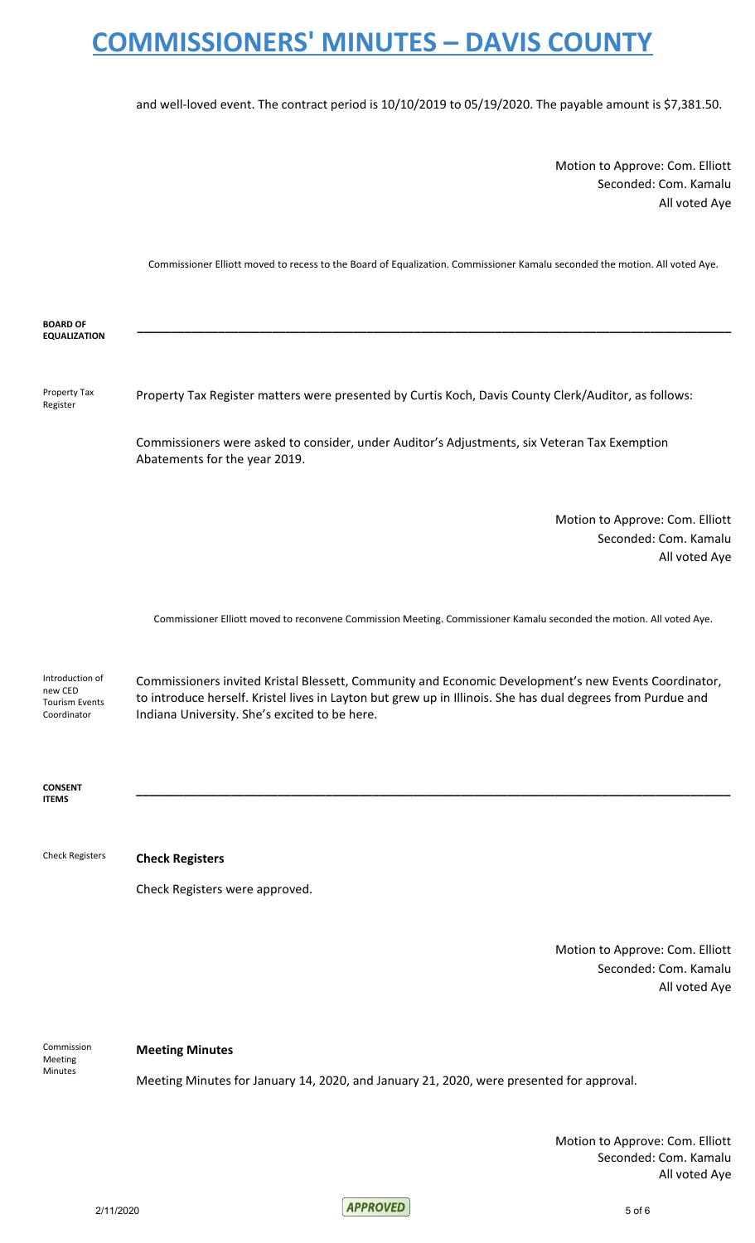and well-loved event. The contract period is 10/10/2019 to 05/19/2020. The payable amount is \$7,381.50.

Motion to Approve: Com. Elliott Seconded: Com. Kamalu All voted Aye

Commissioner Elliott moved to recess to the Board of Equalization. Commissioner Kamalu seconded the motion. All voted Aye.

| <b>BOARD OF</b><br><b>EQUALIZATION</b>                             |                                                                                                                                                                                                                                                                      |
|--------------------------------------------------------------------|----------------------------------------------------------------------------------------------------------------------------------------------------------------------------------------------------------------------------------------------------------------------|
| Property Tax<br>Register                                           | Property Tax Register matters were presented by Curtis Koch, Davis County Clerk/Auditor, as follows:                                                                                                                                                                 |
|                                                                    | Commissioners were asked to consider, under Auditor's Adjustments, six Veteran Tax Exemption<br>Abatements for the year 2019.                                                                                                                                        |
|                                                                    | Motion to Approve: Com. Elliott<br>Seconded: Com. Kamalu<br>All voted Aye                                                                                                                                                                                            |
|                                                                    | Commissioner Elliott moved to reconvene Commission Meeting. Commissioner Kamalu seconded the motion. All voted Aye.                                                                                                                                                  |
| Introduction of<br>new CED<br><b>Tourism Events</b><br>Coordinator | Commissioners invited Kristal Blessett, Community and Economic Development's new Events Coordinator,<br>to introduce herself. Kristel lives in Layton but grew up in Illinois. She has dual degrees from Purdue and<br>Indiana University. She's excited to be here. |
| <b>CONSENT</b><br><b>ITEMS</b>                                     |                                                                                                                                                                                                                                                                      |
| <b>Check Registers</b>                                             | <b>Check Registers</b>                                                                                                                                                                                                                                               |
|                                                                    | Check Registers were approved.                                                                                                                                                                                                                                       |
|                                                                    | Motion to Approve: Com. Elliott<br>Seconded: Com. Kamalu<br>All voted Aye                                                                                                                                                                                            |

Commission Meeting Minutes

#### **Meeting Minutes**

Meeting Minutes for January 14, 2020, and January 21, 2020, were presented for approval.

Motion to Approve: Com. Elliott Seconded: Com. Kamalu All voted Aye